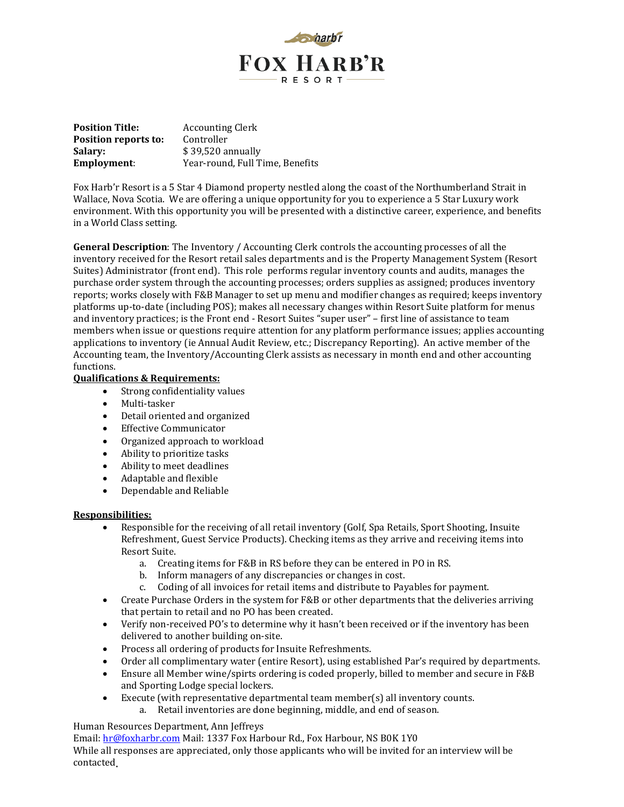

| <b>Position Title:</b> | <b>Accounting Clerk</b>         |
|------------------------|---------------------------------|
| Position reports to:   | Controller                      |
| Salary:                | $$39,520$ annually              |
| <b>Employment:</b>     | Year-round, Full Time, Benefits |

Fox Harb'r Resort is a 5 Star 4 Diamond property nestled along the coast of the Northumberland Strait in Wallace, Nova Scotia. We are offering a unique opportunity for you to experience a 5 Star Luxury work environment. With this opportunity you will be presented with a distinctive career, experience, and benefits in a World Class setting.

**General Description**: The Inventory / Accounting Clerk controls the accounting processes of all the inventory received for the Resort retail sales departments and is the Property Management System (Resort Suites) Administrator (front end). This role performs regular inventory counts and audits, manages the purchase order system through the accounting processes; orders supplies as assigned; produces inventory reports; works closely with F&B Manager to set up menu and modifier changes as required; keeps inventory platforms up-to-date (including POS); makes all necessary changes within Resort Suite platform for menus and inventory practices; is the Front end - Resort Suites "super user" – first line of assistance to team members when issue or questions require attention for any platform performance issues; applies accounting applications to inventory (ie Annual Audit Review, etc.; Discrepancy Reporting). An active member of the Accounting team, the Inventory/Accounting Clerk assists as necessary in month end and other accounting functions.

## **Qualifications & Requirements:**

- Strong confidentiality values
- Multi-tasker
- Detail oriented and organized
- Effective Communicator
- Organized approach to workload
- Ability to prioritize tasks
- Ability to meet deadlines
- Adaptable and flexible
- Dependable and Reliable

## **Responsibilities:**

- Responsible for the receiving of all retail inventory (Golf, Spa Retails, Sport Shooting, Insuite Refreshment, Guest Service Products). Checking items as they arrive and receiving items into Resort Suite.
	- a. Creating items for F&B in RS before they can be entered in PO in RS.
	- b. Inform managers of any discrepancies or changes in cost.
	- c. Coding of all invoices for retail items and distribute to Payables for payment.
- Create Purchase Orders in the system for F&B or other departments that the deliveries arriving that pertain to retail and no PO has been created.
- Verify non-received PO's to determine why it hasn't been received or if the inventory has been delivered to another building on-site.
- Process all ordering of products for Insuite Refreshments.
- Order all complimentary water (entire Resort), using established Par's required by departments.
- Ensure all Member wine/spirts ordering is coded properly, billed to member and secure in F&B and Sporting Lodge special lockers.
- Execute (with representative departmental team member(s) all inventory counts.
	- a. Retail inventories are done beginning, middle, and end of season.

Human Resources Department, Ann Jeffreys

Email: hr@foxharbr.com Mail: 1337 Fox Harbour Rd., Fox Harbour, NS B0K 1Y0

While all responses are appreciated, only those applicants who will be invited for an interview will be contacted.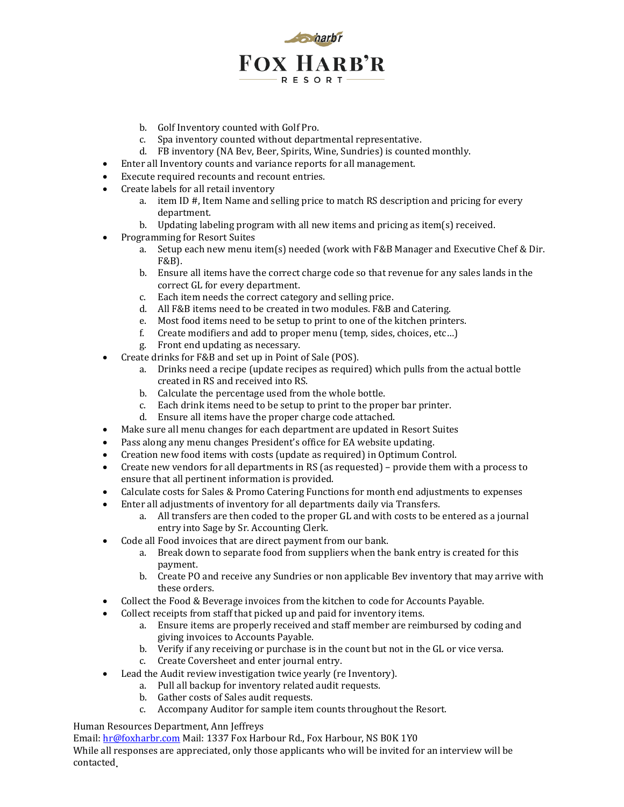

- b. Golf Inventory counted with Golf Pro.
- c. Spa inventory counted without departmental representative.
- d. FB inventory (NA Bev, Beer, Spirits, Wine, Sundries) is counted monthly.
- Enter all Inventory counts and variance reports for all management.
- Execute required recounts and recount entries.
- Create labels for all retail inventory
	- a. item ID #, Item Name and selling price to match RS description and pricing for every department.
	- b. Updating labeling program with all new items and pricing as item(s) received.
- Programming for Resort Suites
	- a. Setup each new menu item(s) needed (work with F&B Manager and Executive Chef & Dir. F&B).
	- b. Ensure all items have the correct charge code so that revenue for any sales lands in the correct GL for every department.
	- c. Each item needs the correct category and selling price.
	- d. All F&B items need to be created in two modules. F&B and Catering.
	- e. Most food items need to be setup to print to one of the kitchen printers.
	- f. Create modifiers and add to proper menu (temp, sides, choices, etc…)
	- g. Front end updating as necessary.
- Create drinks for F&B and set up in Point of Sale (POS).
	- a. Drinks need a recipe (update recipes as required) which pulls from the actual bottle created in RS and received into RS.
	- b. Calculate the percentage used from the whole bottle.
	- c. Each drink items need to be setup to print to the proper bar printer.
	- d. Ensure all items have the proper charge code attached.
- Make sure all menu changes for each department are updated in Resort Suites
- Pass along any menu changes President's office for EA website updating.
- Creation new food items with costs (update as required) in Optimum Control.
- Create new vendors for all departments in RS (as requested) provide them with a process to ensure that all pertinent information is provided.
- Calculate costs for Sales & Promo Catering Functions for month end adjustments to expenses
- Enter all adjustments of inventory for all departments daily via Transfers.
	- a. All transfers are then coded to the proper GL and with costs to be entered as a journal entry into Sage by Sr. Accounting Clerk.
- Code all Food invoices that are direct payment from our bank.
	- a. Break down to separate food from suppliers when the bank entry is created for this payment.
	- b. Create PO and receive any Sundries or non applicable Bev inventory that may arrive with these orders.
- Collect the Food & Beverage invoices from the kitchen to code for Accounts Payable.
- Collect receipts from staff that picked up and paid for inventory items.
	- a. Ensure items are properly received and staff member are reimbursed by coding and giving invoices to Accounts Payable.
	- b. Verify if any receiving or purchase is in the count but not in the GL or vice versa.
	- c. Create Coversheet and enter journal entry.
- Lead the Audit review investigation twice yearly (re Inventory).
	- a. Pull all backup for inventory related audit requests.
	- b. Gather costs of Sales audit requests.
	- c. Accompany Auditor for sample item counts throughout the Resort.

Human Resources Department, Ann Jeffreys

Email: hr@foxharbr.com Mail: 1337 Fox Harbour Rd., Fox Harbour, NS B0K 1Y0

While all responses are appreciated, only those applicants who will be invited for an interview will be contacted.